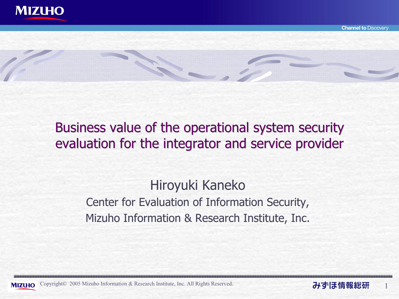

Business value of the operational system security evaluation for the integrator and service provider

> Hiroyuki Kaneko Center for Evaluation of Information Security, Mizuho Information & Research Institute, Inc.



**Channel to Discovery** 

1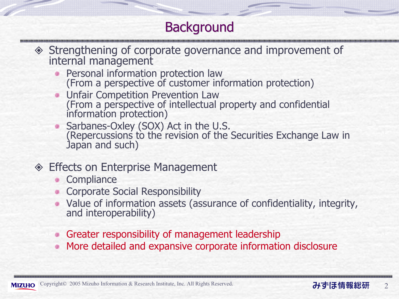## **Background**

# Strengthening of corporate governance and improvement of internal management

- Personal information protection law (From a perspective of customer information protection)
- Unfair Competition Prevention Law (From a perspective of intellectual property and confidential information protection)
- Sarbanes-Oxley (SOX) Act in the U.S.<br>(Repercussions to the revision of the Securities Exchange Law in Japan and such)
- **◈ Effects on Enterprise Management** 
	- **Compliance**
	- Corporate Social Responsibility
	- Value of information assets (assurance of confidentiality, integrity, and interoperability)
	- Greater responsibility of management leadership
	- More detailed and expansive corporate information disclosure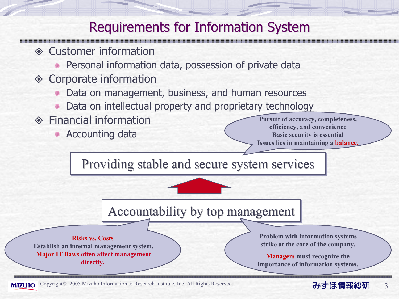#### Requirements for Information System

- **◈ Customer information** 
	- Personal information data, possession of private data
- **◈ Corporate information** 
	- Data on management, business, and human resources
	- Data on intellectual property and proprietary technology
- **◈ Financial information** 
	- Accounting data

Pursuit of accuracy, completeness, efficiency, and convenience Basic security is essential Issues lies in maintaining a balance.

Providing stable and secure system services

#### Accountability by top management

Risks vs. CostsEstablish an internal management system. Major IT flaws often affect management directly.

Problem with information systems strike at the core of the company.

Managers must recognize the importance of information systems.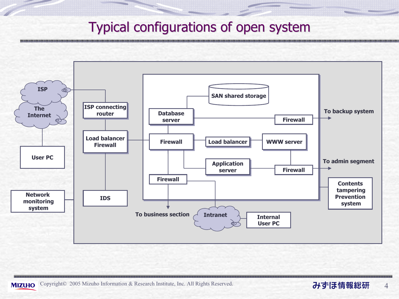#### Typical configurations of open system Typical configurations of open system

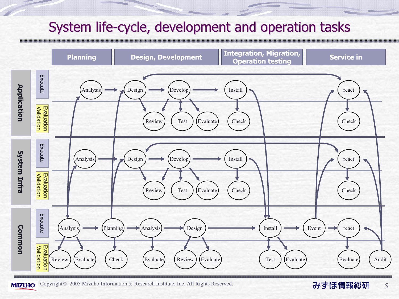#### System life-cycle, development and operation tasks



#### 5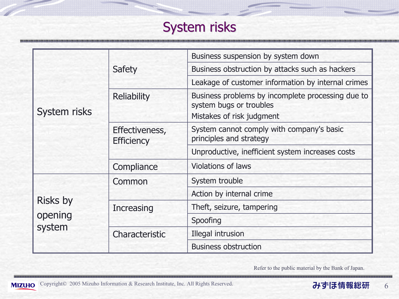## System risks

| <b>System risks</b>                  | Safety                              | Business suspension by system down                                                                        |
|--------------------------------------|-------------------------------------|-----------------------------------------------------------------------------------------------------------|
|                                      |                                     | Business obstruction by attacks such as hackers                                                           |
|                                      |                                     | Leakage of customer information by internal crimes                                                        |
|                                      | <b>Reliability</b>                  | Business problems by incomplete processing due to<br>system bugs or troubles<br>Mistakes of risk judgment |
|                                      | Effectiveness,<br><b>Efficiency</b> | System cannot comply with company's basic<br>principles and strategy                                      |
|                                      |                                     | Unproductive, inefficient system increases costs                                                          |
|                                      | Compliance                          | <b>Violations of laws</b>                                                                                 |
| <b>Risks by</b><br>opening<br>system | Common                              | System trouble                                                                                            |
|                                      |                                     | Action by internal crime                                                                                  |
|                                      | <b>Increasing</b>                   | Theft, seizure, tampering                                                                                 |
|                                      |                                     | Spoofing                                                                                                  |
|                                      | Characteristic                      | Illegal intrusion                                                                                         |
|                                      |                                     | <b>Business obstruction</b>                                                                               |

Refer to the public material by the Bank of Japan.

,,,,,,,,,,,,,,,,,,,,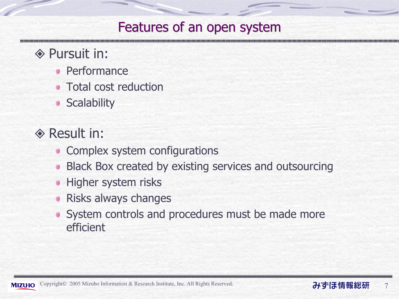#### Features of an open system

- **◈ Pursuit in:** 
	- Performance
	- **Total cost reduction**
	- **Scalability**
- **◈ Result in:** 
	- Complex system configurations ۰
	- **Black Box created by existing services and outsourcing**
	- **Higher system risks**
	- Risks always changes
	- System controls and procedures must be made more efficient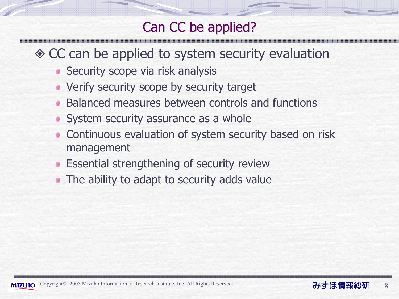### Can CC be applied?

- ◆ CC can be applied to system security evaluation
	- **Security scope via risk analysis**
	- **Verify security scope by security target**
	- Balanced measures between controls and functions
	- System security assurance as a whole
	- **Continuous evaluation of system security based on risk** management
	- **Essential strengthening of security review**
	- The ability to adapt to security adds value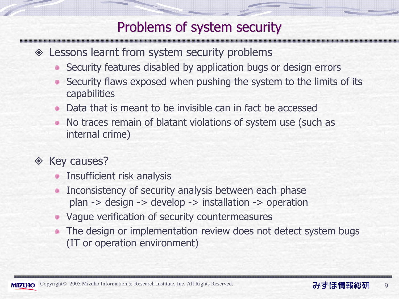#### Problems of system security

- Lessons learnt from system security problems
	- Security features disabled by application bugs or design errors
	- Security flaws exposed when pushing the system to the limits of its capabilities
	- Data that is meant to be invisible can in fact be accessed
	- No traces remain of blatant violations of system use (such as internal crime)
- $\Diamond$  Key causes?
	- Insufficient risk analysis
	- Inconsistency of security analysis between each phase plan -> design -> develop -> installation -> operation
	- Vague verification of security countermeasures
	- The design or implementation review does not detect system bugs (IT or operation environment)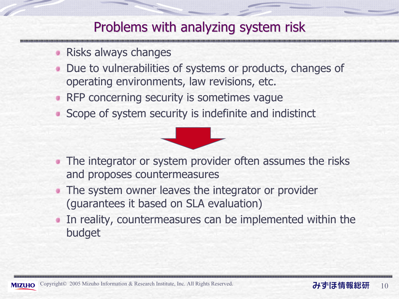#### Problems with analyzing system risk

- Risks always changes
- Due to vulnerabilities of systems or products, changes of operating environments, law revisions, etc.
- RFP concerning security is sometimes vague
- Scope of system security is indefinite and indistinct



- The integrator or system provider often assumes the risks and proposes countermeasures
- The system owner leaves the integrator or provider (guarantees it based on SLA evaluation)
- In reality, countermeasures can be implemented within the budget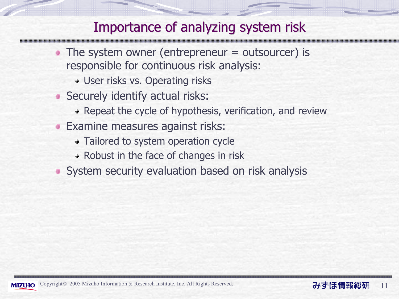#### Importance of analyzing system risk

- The system owner (entrepreneur = outsourcer) is responsible for continuous risk analysis:
	- User risks vs. Operating risks
- Securely identify actual risks:
	- $\rightarrow$  Repeat the cycle of hypothesis, verification, and review
- **Examine measures against risks:** 
	- Tailored to system operation cycle
	- $\rightarrow$  Robust in the face of changes in risk
- System security evaluation based on risk analysis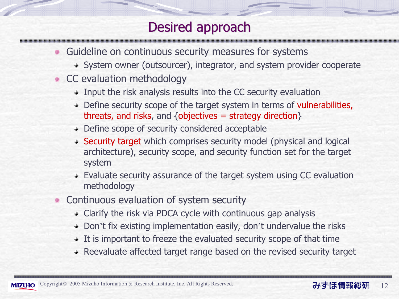### Desired approach

- Guideline on continuous security measures for systems
	- System owner (outsourcer), integrator, and system provider cooperate
- CC evaluation methodology
	- $\rightarrow$  Input the risk analysis results into the CC security evaluation
	- + Define security scope of the target system in terms of vulnerabilities, threats, and risks, and {objectives = strategy direction }
	- Define scope of security considered acceptable
	- Security target which comprises security model (physical and logical architecture), security scope, and security function set for the target system
	- Evaluate security assurance of the target system using CC evaluation methodology
- Continuous evaluation of system security
	- Clarify the risk via PDCA cycle with continuous gap analysis
	- Don't fix existing implementation easily, don't undervalue the risks
	- $\rightarrow$  It is important to freeze the evaluated security scope of that time
	- $\rightarrow$  Reevaluate affected target range based on the revised security target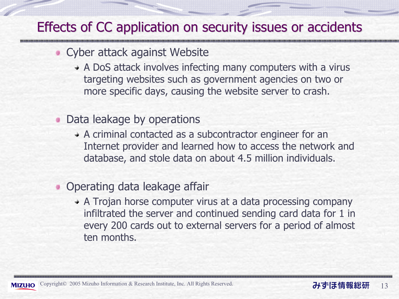#### Effects of CC application on security issues or accidents

#### Cyber attack against Website

- A DoS attack involves infecting many computers with a virus targeting websites such as government agencies on two or more specific days, causing the website server to crash.
- **Data leakage by operations** 
	- A criminal contacted as a subcontractor engineer for an Internet provider and learned how to access the network and database, and stole data on about 4.5 million individuals.
- Operating data leakage affair
	- A Trojan horse computer virus at a data processing company infiltrated the server and continued sending card data for 1 in every 200 cards out to external servers for a period of almost ten months.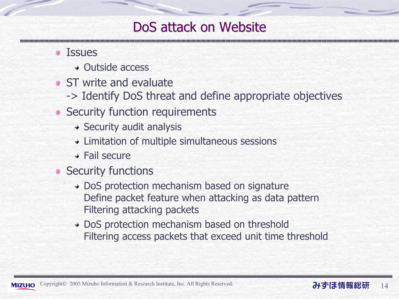#### DoS attack on Website

#### **Issues**

- Outside access
- **ST** write and evaluate
	- -> Identify DoS threat and define appropriate objectives
- Security function requirements
	- $\rightarrow$  Security audit analysis
	- Limitation of multiple simultaneous sessions
	- Fail secure
- Security functions
	- + DoS protection mechanism based on signature Define packet feature when attacking as data pattern Filtering attacking packets
	- + DoS protection mechanism based on threshold Filtering access packets that exceed unit time threshold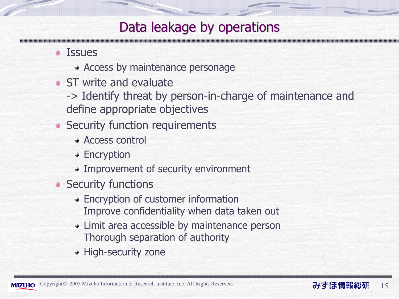### Data leakage by operations

- **Issues** 
	- Access by maintenance personage
- **ST** write and evaluate
	- -> Identify threat by person-in-charge of maintenance and define appropriate objectives
- **Security function requirements** 
	- Access control
	- + Encryption
	- Improvement of security environment
- **Security functions** 
	- Encryption of customer information Improve confidentiality when data taken out
	- Limit area accessible by maintenance person Thorough separation of authority
	- $\rightarrow$  High-security zone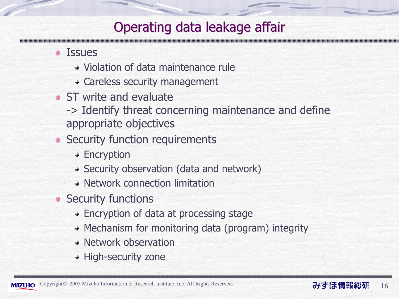### Operating data leakage affair

- **Issues** 
	- Violation of data maintenance rule
	- Careless security management
- **ST** write and evaluate
	- -> Identify threat concerning maintenance and define appropriate objectives
- Security function requirements
	- + Encryption
	- Security observation (data and network)
	- Network connection limitation
- **Security functions** 
	- Encryption of data at processing stage
	- $\rightarrow$  Mechanism for monitoring data (program) integrity
	- Network observation
	- $+$  High-security zone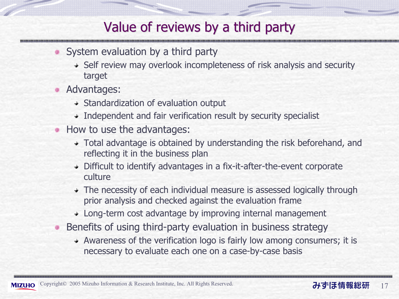#### Value of reviews by a third party

- System evaluation by a third party
	- Self review may overlook incompleteness of risk analysis and security target
- **Advantages:** 
	- $\rightarrow$  Standardization of evaluation output
	- Independent and fair verification result by security specialist
- How to use the advantages:
	- Total advantage is obtained by understanding the risk beforehand, and reflecting it in the business plan
	- Difficult to identify advantages in a fix-it-after-the-event corporate culture
	- The necessity of each individual measure is assessed logically through prior analysis and checked against the evaluation frame
	- Long-term cost advantage by improving internal management
- Benefits of using third-party evaluation in business strategy .
	- Awareness of the verification logo is fairly low among consumers; it is necessary to evaluate each one on a case-by-case basis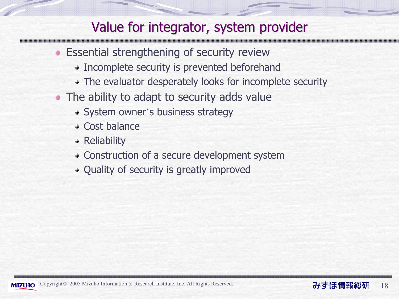#### Value for integrator, system provider

- **Essential strengthening of security review** 
	- Incomplete security is prevented beforehand
	- The evaluator desperately looks for incomplete security
- The ability to adapt to security adds value
	- System owner*'*s business strategy
	- $\div$  Cost balance
	- $\triangleleft$  Reliability
	- Construction of a secure development system
	- $\rightarrow$  Quality of security is greatly improved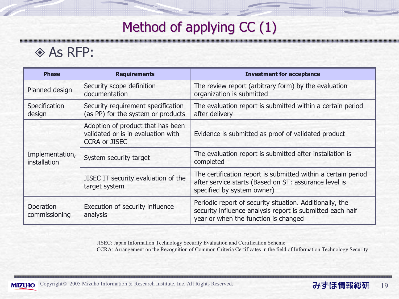## Method of applying  $CC(1)$

#### **◈ As RFP:**

,,,,,,,,

| <b>Phase</b>                                                                                        | <b>Requirements</b>                                                                             | <b>Investment for acceptance</b>                                                                                                                              |
|-----------------------------------------------------------------------------------------------------|-------------------------------------------------------------------------------------------------|---------------------------------------------------------------------------------------------------------------------------------------------------------------|
| Planned design                                                                                      | Security scope definition<br>documentation                                                      | The review report (arbitrary form) by the evaluation<br>organization is submitted                                                                             |
| Security requirement specification<br>Specification<br>(as PP) for the system or products<br>design |                                                                                                 | The evaluation report is submitted within a certain period<br>after delivery                                                                                  |
| Implementation,<br>installation                                                                     | Adoption of product that has been<br>validated or is in evaluation with<br><b>CCRA or JISEC</b> | Evidence is submitted as proof of validated product                                                                                                           |
|                                                                                                     | System security target                                                                          | The evaluation report is submitted after installation is<br>completed                                                                                         |
|                                                                                                     | JISEC IT security evaluation of the<br>target system                                            | The certification report is submitted within a certain period<br>after service starts (Based on ST: assurance level is<br>specified by system owner)          |
| Operation<br>commissioning                                                                          | Execution of security influence<br>analysis                                                     | Periodic report of security situation. Additionally, the<br>security influence analysis report is submitted each half<br>year or when the function is changed |

JISEC: Japan Information Technology Security Evaluation and Certification Scheme CCRA: Arrangement on the Recognition of Common Criteria Certificates in the field of Information Technology Security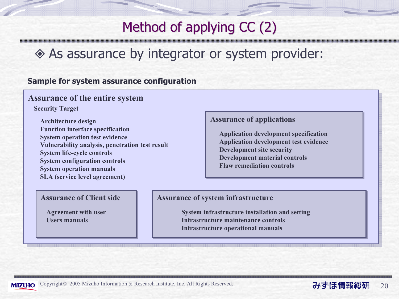### Method of applying  $CC(2)$

## As assurance by integrator or system provider:

#### Sample for system assurance configuration

#### Assurance of the entire system

Security Target

Architecture design Assurance of applications Architecture design Function interface specification System operation test evidence Vulnerability analysis, penetration test result System life-cycle controls System configuration controls System operation manuals SLA (service level agreement)

Application development specification Application development test evidence Development site security Development material controls Flaw remediation controls

#### **Assurance of Client side**

Agreement with user Users manuals

#### Assurance of system infrastructure

System infrastructure installation and setting Infrastructure maintenance controlsInfrastructure operational manuals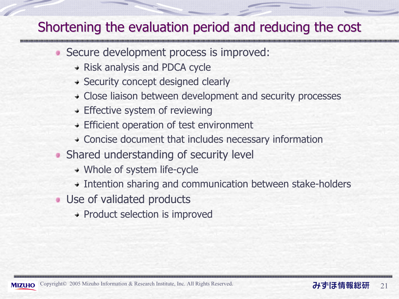#### Shortening the evaluation period and reducing the cost

- Secure development process is improved:
	- Risk analysis and PDCA cycle
	- Security concept designed clearly
	- Close liaison between development and security processes
	- **+ Effective system of reviewing**
	- Efficient operation of test environment
	- Concise document that includes necessary information
- Shared understanding of security level ۰
	- Whole of system life-cycle
	- Intention sharing and communication between stake-holders
- **Use of validated products** 
	- + Product selection is improved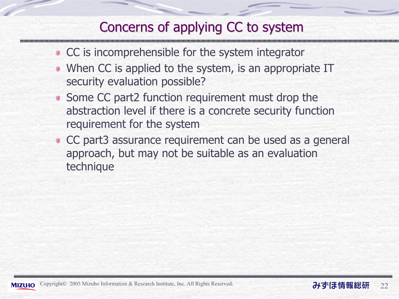### Concerns of applying CC to system

- CC is incomprehensible for the system integrator
- When CC is applied to the system, is an appropriate IT security evaluation possible?
- Some CC part2 function requirement must drop the abstraction level if there is a concrete security function requirement for the system
- CC part3 assurance requirement can be used as a general approach, but may not be suitable as an evaluation technique